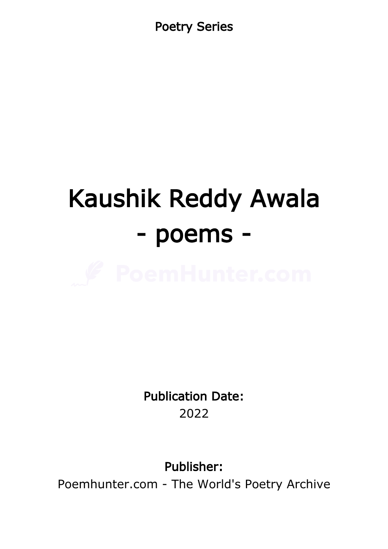Poetry Series

# Kaushik Reddy Awala - poems -



Publication Date: 2022

Publisher:

Poemhunter.com - The World's Poetry Archive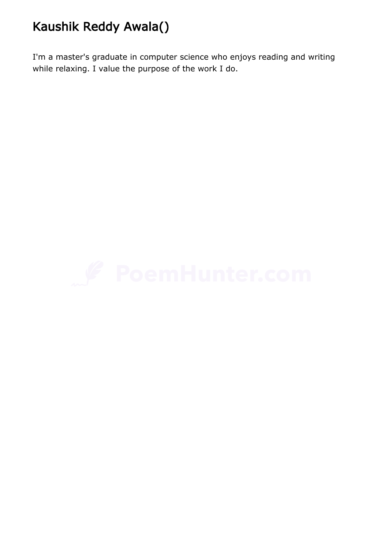## Kaushik Reddy Awala()

I'm a master's graduate in computer science who enjoys reading and writing while relaxing. I value the purpose of the work I do.

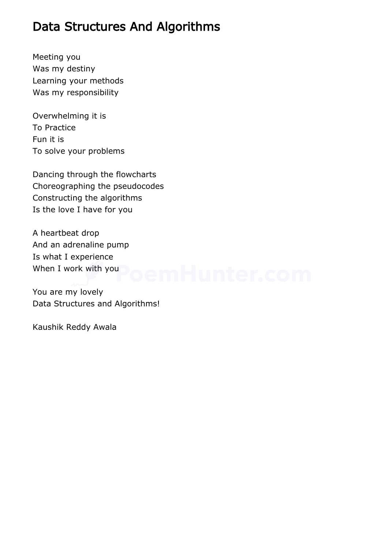#### Data Structures And Algorithms

Meeting you Was my destiny Learning your methods Was my responsibility

Overwhelming it is To Practice Fun it is To solve your problems

Dancing through the flowcharts Choreographing the pseudocodes Constructing the algorithms Is the love I have for you

A heartbeat drop And an adrenaline pump Is what I experience When I work with you **De Mark Limited Community** 

You are my lovely Data Structures and Algorithms!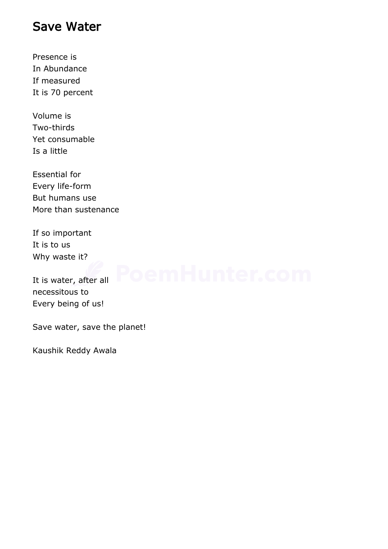#### Save Water

Presence is In Abundance If measured It is 70 percent

Volume is Two-thirds Yet consumable Is a little

Essential for Every life-form But humans use More than sustenance

If so important It is to us Why waste it?

It is water, after all necessitous to Every being of us!

Save water, save the planet!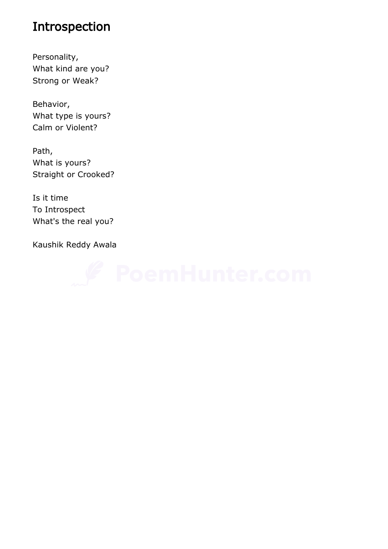### Introspection

Personality, What kind are you? Strong or Weak?

Behavior, What type is yours? Calm or Violent?

Path, What is yours? Straight or Crooked?

Is it time To Introspect What's the real you?